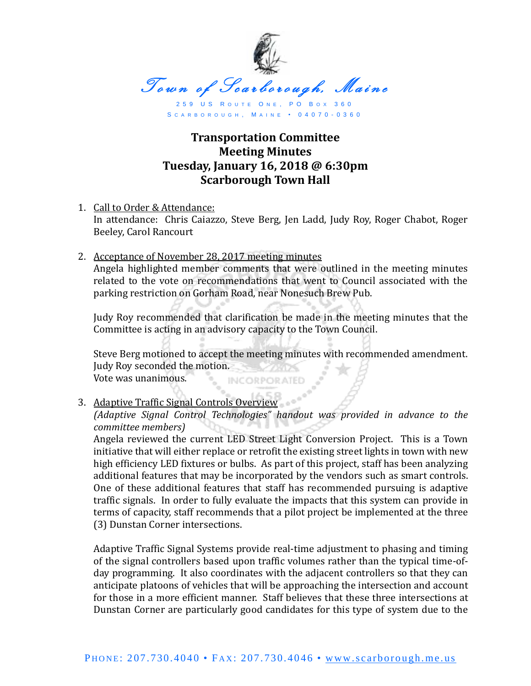

S C A R B O R O U G H , M A I N E • 0 4 0 7 0 - 0 3 6 0

## **Transportation Committee Meeting Minutes Tuesday, January 16, 2018 @ 6:30pm Scarborough Town Hall**

- 1. Call to Order & Attendance: In attendance: Chris Caiazzo, Steve Berg, Jen Ladd, Judy Roy, Roger Chabot, Roger Beeley, Carol Rancourt
- 2. Acceptance of November 28, 2017 meeting minutes Angela highlighted member comments that were outlined in the meeting minutes related to the vote on recommendations that went to Council associated with the parking restriction on Gorham Road, near Nonesuch Brew Pub.

Judy Roy recommended that clarification be made in the meeting minutes that the Committee is acting in an advisory capacity to the Town Council.

Steve Berg motioned to accept the meeting minutes with recommended amendment. Judy Roy seconded the motion. Vote was unanimous. INCORPORATED

3. Adaptive Traffic Signal Controls Overview

*(Adaptive Signal Control Technologies" handout was provided in advance to the committee members)*

Angela reviewed the current LED Street Light Conversion Project. This is a Town initiative that will either replace or retrofit the existing street lights in town with new high efficiency LED fixtures or bulbs. As part of this project, staff has been analyzing additional features that may be incorporated by the vendors such as smart controls. One of these additional features that staff has recommended pursuing is adaptive traffic signals. In order to fully evaluate the impacts that this system can provide in terms of capacity, staff recommends that a pilot project be implemented at the three (3) Dunstan Corner intersections.

Adaptive Traffic Signal Systems provide real-time adjustment to phasing and timing of the signal controllers based upon traffic volumes rather than the typical time-ofday programming. It also coordinates with the adjacent controllers so that they can anticipate platoons of vehicles that will be approaching the intersection and account for those in a more efficient manner. Staff believes that these three intersections at Dunstan Corner are particularly good candidates for this type of system due to the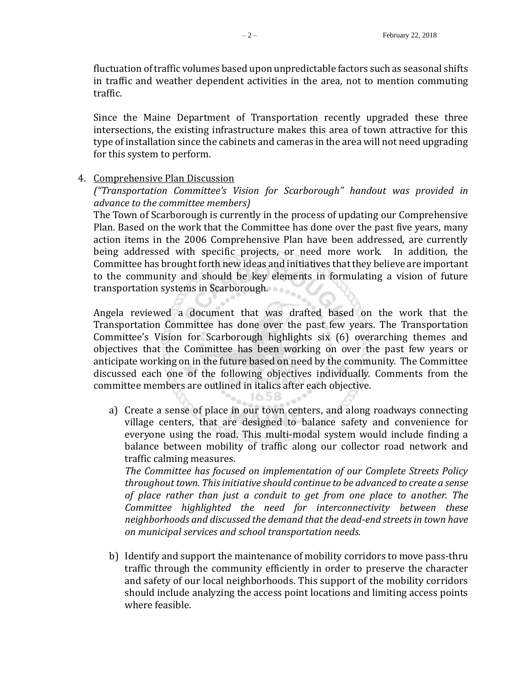fluctuation of traffic volumes based upon unpredictable factors such as seasonal shifts in traffic and weather dependent activities in the area, not to mention commuting traffic.

Since the Maine Department of Transportation recently upgraded these three intersections, the existing infrastructure makes this area of town attractive for this type of installation since the cabinets and cameras in the area will not need upgrading for this system to perform.

## 4. Comprehensive Plan Discussion

*("Transportation Committee's Vision for Scarborough" handout was provided in advance to the committee members)*

The Town of Scarborough is currently in the process of updating our Comprehensive Plan. Based on the work that the Committee has done over the past five years, many action items in the 2006 Comprehensive Plan have been addressed, are currently being addressed with specific projects, or need more work. In addition, the Committee has brought forth new ideas and initiatives that they believe are important to the community and should be key elements in formulating a vision of future transportation systems in Scarborough.

Angela reviewed a document that was drafted based on the work that the Transportation Committee has done over the past few years. The Transportation Committee's Vision for Scarborough highlights six (6) overarching themes and objectives that the Committee has been working on over the past few years or anticipate working on in the future based on need by the community. The Committee discussed each one of the following objectives individually. Comments from the committee members are outlined in italics after each objective.

にっこう

a) Create a sense of place in our town centers, and along roadways connecting village centers, that are designed to balance safety and convenience for everyone using the road. This multi-modal system would include finding a balance between mobility of traffic along our collector road network and traffic calming measures.

*The Committee has focused on implementation of our Complete Streets Policy throughout town. This initiative should continue to be advanced to create a sense of place rather than just a conduit to get from one place to another. The Committee highlighted the need for interconnectivity between these neighborhoods and discussed the demand that the dead-end streets in town have on municipal services and school transportation needs.*

b) Identify and support the maintenance of mobility corridors to move pass-thru traffic through the community efficiently in order to preserve the character and safety of our local neighborhoods. This support of the mobility corridors should include analyzing the access point locations and limiting access points where feasible.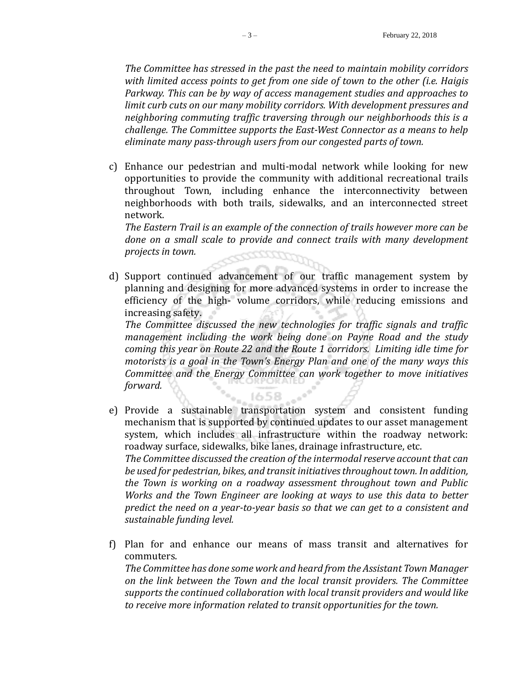*The Committee has stressed in the past the need to maintain mobility corridors with limited access points to get from one side of town to the other (i.e. Haigis Parkway. This can be by way of access management studies and approaches to limit curb cuts on our many mobility corridors. With development pressures and neighboring commuting traffic traversing through our neighborhoods this is a challenge. The Committee supports the East-West Connector as a means to help eliminate many pass-through users from our congested parts of town.*

c) Enhance our pedestrian and multi-modal network while looking for new opportunities to provide the community with additional recreational trails throughout Town, including enhance the interconnectivity between neighborhoods with both trails, sidewalks, and an interconnected street network.

*The Eastern Trail is an example of the connection of trails however more can be done on a small scale to provide and connect trails with many development projects in town.*

d) Support continued advancement of our traffic management system by planning and designing for more advanced systems in order to increase the efficiency of the high- volume corridors, while reducing emissions and increasing safety.

*The Committee discussed the new technologies for traffic signals and traffic management including the work being done on Payne Road and the study coming this year on Route 22 and the Route 1 corridors. Limiting idle time for motorists is a goal in the Town's Energy Plan and one of the many ways this Committee and the Energy Committee can work together to move initiatives forward.*

e) Provide a sustainable transportation system and consistent funding mechanism that is supported by continued updates to our asset management system, which includes all infrastructure within the roadway network: roadway surface, sidewalks, bike lanes, drainage infrastructure, etc. *The Committee discussed the creation of the intermodal reserve account that can be used for pedestrian, bikes, and transit initiativesthroughout town. In addition, the Town is working on a roadway assessment throughout town and Public Works and the Town Engineer are looking at ways to use this data to better predict the need on a year-to-year basis so that we can get to a consistent and sustainable funding level.*

1658

f) Plan for and enhance our means of mass transit and alternatives for commuters. *The Committee has done some work and heard from the Assistant Town Manager on the link between the Town and the local transit providers. The Committee supports the continued collaboration with local transit providers and would like to receive more information related to transit opportunities for the town.*